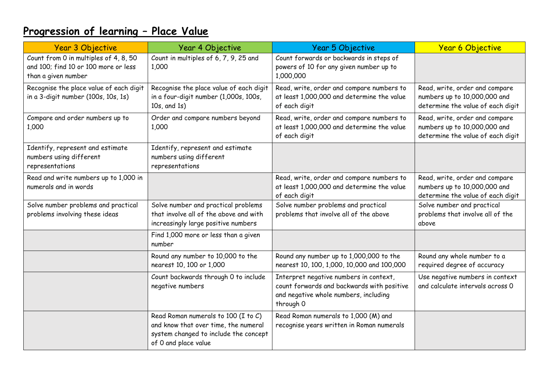# **Progression of learning – Place Value**

| <b>Year 3 Objective</b>                                                                              | Year 4 Objective                                                                                                                             | Year 5 Objective                                                                                                                           | <b>Year 6 Objective</b>                                                                             |
|------------------------------------------------------------------------------------------------------|----------------------------------------------------------------------------------------------------------------------------------------------|--------------------------------------------------------------------------------------------------------------------------------------------|-----------------------------------------------------------------------------------------------------|
| Count from 0 in multiples of 4, 8, 50<br>and 100; find 10 or 100 more or less<br>than a given number | Count in multiples of 6, 7, 9, 25 and<br>1,000                                                                                               | Count forwards or backwards in steps of<br>powers of 10 for any given number up to<br>1,000,000                                            |                                                                                                     |
| Recognise the place value of each digit<br>in a 3-digit number (100s, 10s, 1s)                       | Recognise the place value of each digit<br>in a four-digit number (1,000s, 100s,<br>10s, and 1s)                                             | Read, write, order and compare numbers to<br>at least 1,000,000 and determine the value<br>of each digit                                   | Read, write, order and compare<br>numbers up to 10,000,000 and<br>determine the value of each digit |
| Compare and order numbers up to<br>1,000                                                             | Order and compare numbers beyond<br>1,000                                                                                                    | Read, write, order and compare numbers to<br>at least 1,000,000 and determine the value<br>of each digit                                   | Read, write, order and compare<br>numbers up to 10,000,000 and<br>determine the value of each digit |
| Identify, represent and estimate<br>numbers using different<br>representations                       | Identify, represent and estimate<br>numbers using different<br>representations                                                               |                                                                                                                                            |                                                                                                     |
| Read and write numbers up to 1,000 in<br>numerals and in words                                       |                                                                                                                                              | Read, write, order and compare numbers to<br>at least 1,000,000 and determine the value<br>of each digit                                   | Read, write, order and compare<br>numbers up to 10,000,000 and<br>determine the value of each digit |
| Solve number problems and practical<br>problems involving these ideas                                | Solve number and practical problems<br>that involve all of the above and with<br>increasingly large positive numbers                         | Solve number problems and practical<br>problems that involve all of the above                                                              | Solve number and practical<br>problems that involve all of the<br>above                             |
|                                                                                                      | Find 1,000 more or less than a given<br>number                                                                                               |                                                                                                                                            |                                                                                                     |
|                                                                                                      | Round any number to 10,000 to the<br>nearest 10, 100 or 1,000                                                                                | Round any number up to 1,000,000 to the<br>nearest 10, 100, 1,000, 10,000 and 100,000                                                      | Round any whole number to a<br>required degree of accuracy                                          |
|                                                                                                      | Count backwards through 0 to include<br>negative numbers                                                                                     | Interpret negative numbers in context,<br>count forwards and backwards with positive<br>and negative whole numbers, including<br>through 0 | Use negative numbers in context<br>and calculate intervals across 0                                 |
|                                                                                                      | Read Roman numerals to 100 (I to C)<br>and know that over time, the numeral<br>system changed to include the concept<br>of 0 and place value | Read Roman numerals to 1,000 (M) and<br>recognise years written in Roman numerals                                                          |                                                                                                     |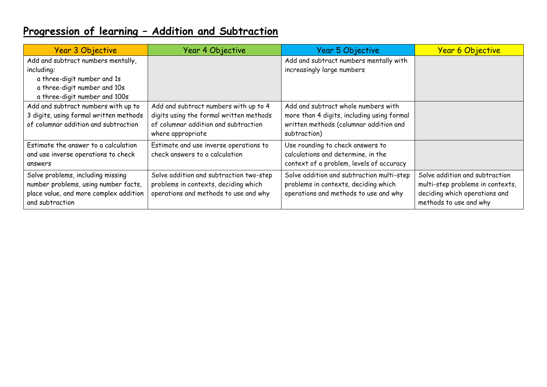### **Progression of learning – Addition and Subtraction**

| <b>Year 3 Objective</b>                | <b>Year 4 Objective</b>                 | Year 5 Objective                           | <b>Year 6 Objective</b>          |
|----------------------------------------|-----------------------------------------|--------------------------------------------|----------------------------------|
| Add and subtract numbers mentally,     |                                         | Add and subtract numbers mentally with     |                                  |
| including:                             |                                         | increasingly large numbers                 |                                  |
| a three-digit number and 1s            |                                         |                                            |                                  |
| a three-digit number and 10s           |                                         |                                            |                                  |
| a three-digit number and 100s          |                                         |                                            |                                  |
| Add and subtract numbers with up to    | Add and subtract numbers with up to 4   | Add and subtract whole numbers with        |                                  |
| 3 digits, using formal written methods | digits using the formal written methods | more than 4 digits, including using formal |                                  |
| of columnar addition and subtraction   | of columnar addition and subtraction    | written methods (columnar addition and     |                                  |
|                                        | where appropriate                       | subtraction)                               |                                  |
| Estimate the answer to a calculation   | Estimate and use inverse operations to  | Use rounding to check answers to           |                                  |
| and use inverse operations to check    | check answers to a calculation          | calculations and determine, in the         |                                  |
| answers                                |                                         | context of a problem, levels of accuracy   |                                  |
| Solve problems, including missing      | Solve addition and subtraction two-step | Solve addition and subtraction multi-step  | Solve addition and subtraction   |
| number problems, using number facts,   | problems in contexts, deciding which    | problems in contexts, deciding which       | multi-step problems in contexts, |
| place value, and more complex addition | operations and methods to use and why   | operations and methods to use and why      | deciding which operations and    |
| and subtraction                        |                                         |                                            | methods to use and why           |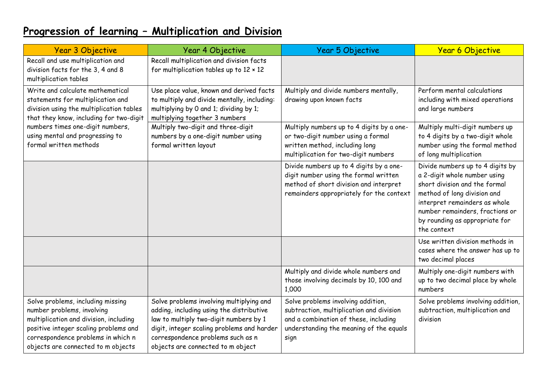## **Progression of learning – Multiplication and Division**

| <b>Year 3 Objective</b>                                                                                                                                                                                                        | <b>Year 4 Objective</b>                                                                                                                                                                                                                                | Year 5 Objective                                                                                                                                                           | <b>Year 6 Objective</b>                                                                                                                                                                                                                               |
|--------------------------------------------------------------------------------------------------------------------------------------------------------------------------------------------------------------------------------|--------------------------------------------------------------------------------------------------------------------------------------------------------------------------------------------------------------------------------------------------------|----------------------------------------------------------------------------------------------------------------------------------------------------------------------------|-------------------------------------------------------------------------------------------------------------------------------------------------------------------------------------------------------------------------------------------------------|
| Recall and use multiplication and<br>division facts for the 3, 4 and 8<br>multiplication tables                                                                                                                                | Recall multiplication and division facts<br>for multiplication tables up to $12 \times 12$                                                                                                                                                             |                                                                                                                                                                            |                                                                                                                                                                                                                                                       |
| Write and calculate mathematical<br>statements for multiplication and<br>division using the multiplication tables<br>that they know, including for two-digit                                                                   | Use place value, known and derived facts<br>to multiply and divide mentally, including:<br>multiplying by 0 and 1; dividing by 1;<br>multiplying together 3 numbers                                                                                    | Multiply and divide numbers mentally,<br>drawing upon known facts                                                                                                          | Perform mental calculations<br>including with mixed operations<br>and large numbers                                                                                                                                                                   |
| numbers times one-digit numbers,<br>using mental and progressing to<br>formal written methods                                                                                                                                  | Multiply two-digit and three-digit<br>numbers by a one-digit number using<br>formal written layout                                                                                                                                                     | Multiply numbers up to 4 digits by a one-<br>or two-digit number using a formal<br>written method, including long<br>multiplication for two-digit numbers                  | Multiply multi-digit numbers up<br>to 4 digits by a two-digit whole<br>number using the formal method<br>of long multiplication                                                                                                                       |
|                                                                                                                                                                                                                                |                                                                                                                                                                                                                                                        | Divide numbers up to 4 digits by a one-<br>digit number using the formal written<br>method of short division and interpret<br>remainders appropriately for the context     | Divide numbers up to 4 digits by<br>a 2-digit whole number using<br>short division and the formal<br>method of long division and<br>interpret remainders as whole<br>number remainders, fractions or<br>by rounding as appropriate for<br>the context |
|                                                                                                                                                                                                                                |                                                                                                                                                                                                                                                        |                                                                                                                                                                            | Use written division methods in<br>cases where the answer has up to<br>two decimal places                                                                                                                                                             |
|                                                                                                                                                                                                                                |                                                                                                                                                                                                                                                        | Multiply and divide whole numbers and<br>those involving decimals by 10, 100 and<br>1,000                                                                                  | Multiply one-digit numbers with<br>up to two decimal place by whole<br>numbers                                                                                                                                                                        |
| Solve problems, including missing<br>number problems, involving<br>multiplication and division, including<br>positive integer scaling problems and<br>correspondence problems in which n<br>objects are connected to m objects | Solve problems involving multiplying and<br>adding, including using the distributive<br>law to multiply two-digit numbers by 1<br>digit, integer scaling problems and harder<br>correspondence problems such as n<br>objects are connected to m object | Solve problems involving addition,<br>subtraction, multiplication and division<br>and a combination of these, including<br>understanding the meaning of the equals<br>sign | Solve problems involving addition,<br>subtraction, multiplication and<br>division                                                                                                                                                                     |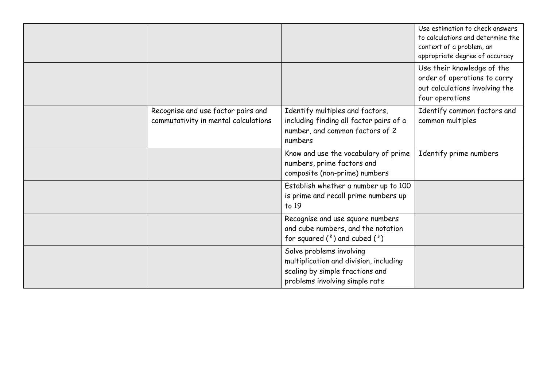|                                                                            |                                                                                                                                         | Use estimation to check answers<br>to calculations and determine the<br>context of a problem, an<br>appropriate degree of accuracy |
|----------------------------------------------------------------------------|-----------------------------------------------------------------------------------------------------------------------------------------|------------------------------------------------------------------------------------------------------------------------------------|
|                                                                            |                                                                                                                                         | Use their knowledge of the<br>order of operations to carry<br>out calculations involving the<br>four operations                    |
| Recognise and use factor pairs and<br>commutativity in mental calculations | Identify multiples and factors,<br>including finding all factor pairs of a<br>number, and common factors of 2<br>numbers                | Identify common factors and<br>common multiples                                                                                    |
|                                                                            | Know and use the vocabulary of prime<br>numbers, prime factors and<br>composite (non-prime) numbers                                     | Identify prime numbers                                                                                                             |
|                                                                            | Establish whether a number up to 100<br>is prime and recall prime numbers up<br>to 19                                                   |                                                                                                                                    |
|                                                                            | Recognise and use square numbers<br>and cube numbers, and the notation<br>for squared $(^2)$ and cubed $(^3)$                           |                                                                                                                                    |
|                                                                            | Solve problems involving<br>multiplication and division, including<br>scaling by simple fractions and<br>problems involving simple rate |                                                                                                                                    |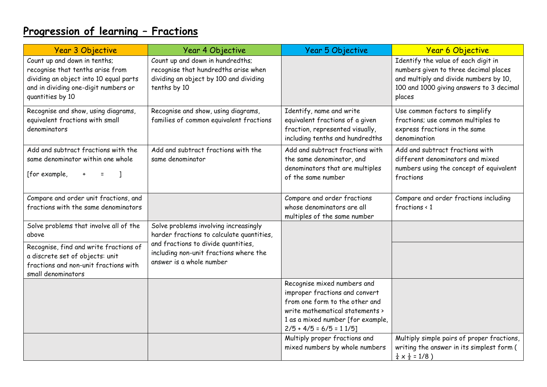## **Progression of learning – Fractions**

| <b>Year 3 Objective</b>                                                                                                                                                | Year 4 Objective                                                                                                                   | Year 5 Objective                                                                                                                                                                                    | <b>Year 6 Objective</b>                                                                                                                                                      |
|------------------------------------------------------------------------------------------------------------------------------------------------------------------------|------------------------------------------------------------------------------------------------------------------------------------|-----------------------------------------------------------------------------------------------------------------------------------------------------------------------------------------------------|------------------------------------------------------------------------------------------------------------------------------------------------------------------------------|
| Count up and down in tenths;<br>recognise that tenths arise from<br>dividing an object into 10 equal parts<br>and in dividing one-digit numbers or<br>quantities by 10 | Count up and down in hundredths;<br>recognise that hundredths arise when<br>dividing an object by 100 and dividing<br>tenths by 10 |                                                                                                                                                                                                     | Identify the value of each digit in<br>numbers given to three decimal places<br>and multiply and divide numbers by 10,<br>100 and 1000 giving answers to 3 decimal<br>places |
| Recognise and show, using diagrams,<br>equivalent fractions with small<br>denominators                                                                                 | Recognise and show, using diagrams,<br>families of common equivalent fractions                                                     | Identify, name and write<br>equivalent fractions of a given<br>fraction, represented visually,<br>including tenths and hundredths                                                                   | Use common factors to simplify<br>fractions; use common multiples to<br>express fractions in the same<br>denomination                                                        |
| Add and subtract fractions with the<br>same denominator within one whole<br>[for example,                                                                              | Add and subtract fractions with the<br>same denominator                                                                            | Add and subtract fractions with<br>the same denominator, and<br>denominators that are multiples<br>of the same number                                                                               | Add and subtract fractions with<br>different denominators and mixed<br>numbers using the concept of equivalent<br>fractions                                                  |
| Compare and order unit fractions, and<br>fractions with the same denominators                                                                                          |                                                                                                                                    | Compare and order fractions<br>whose denominators are all<br>multiples of the same number                                                                                                           | Compare and order fractions including<br>fractions $\langle 1$                                                                                                               |
| Solve problems that involve all of the<br>above                                                                                                                        | Solve problems involving increasingly<br>harder fractions to calculate quantities,                                                 |                                                                                                                                                                                                     |                                                                                                                                                                              |
| Recognise, find and write fractions of<br>a discrete set of objects: unit<br>fractions and non-unit fractions with<br>small denominators                               | and fractions to divide quantities,<br>including non-unit fractions where the<br>answer is a whole number                          |                                                                                                                                                                                                     |                                                                                                                                                                              |
|                                                                                                                                                                        |                                                                                                                                    | Recognise mixed numbers and<br>improper fractions and convert<br>from one form to the other and<br>write mathematical statements ><br>1 as a mixed number [for example,<br>$2/5 + 4/5 = 6/5 = 11/5$ |                                                                                                                                                                              |
|                                                                                                                                                                        |                                                                                                                                    | Multiply proper fractions and<br>mixed numbers by whole numbers                                                                                                                                     | Multiply simple pairs of proper fractions,<br>writing the answer in its simplest form (<br>$\frac{1}{4} \times \frac{1}{2} = 1/8$ )                                          |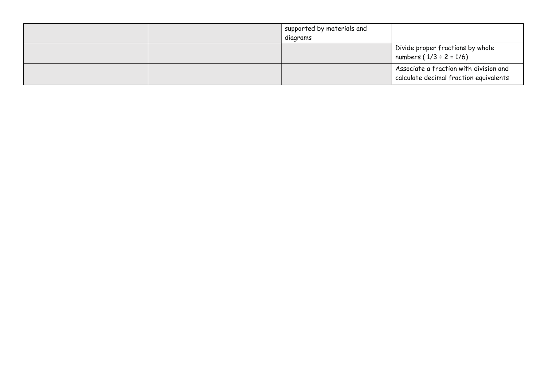|  | supported by materials and<br>diagrams |                                                                                  |
|--|----------------------------------------|----------------------------------------------------------------------------------|
|  |                                        | Divide proper fractions by whole<br>  numbers $(1/3 \div 2 = 1/6)$               |
|  |                                        | Associate a fraction with division and<br>calculate decimal fraction equivalents |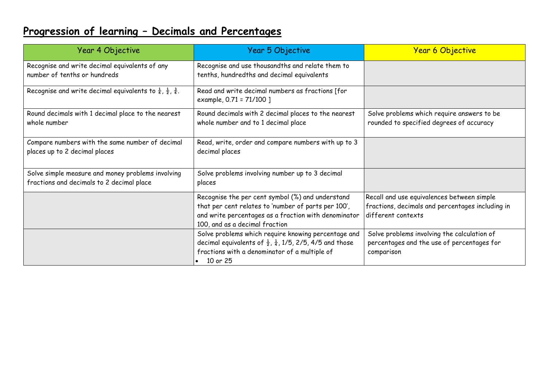# **Progression of learning – Decimals and Percentages**

| Year 4 Objective                                                                               | Year 5 Objective                                                                                                                                                                                   | <b>Year 6 Objective</b>                                                                                              |
|------------------------------------------------------------------------------------------------|----------------------------------------------------------------------------------------------------------------------------------------------------------------------------------------------------|----------------------------------------------------------------------------------------------------------------------|
| Recognise and write decimal equivalents of any<br>number of tenths or hundreds                 | Recognise and use thousandths and relate them to<br>tenths, hundredths and decimal equivalents                                                                                                     |                                                                                                                      |
| Recognise and write decimal equivalents to $\frac{1}{4}$ , $\frac{1}{2}$ , $\frac{3}{4}$ .     | Read and write decimal numbers as fractions [for<br>example, 0.71 = 71/100 ]                                                                                                                       |                                                                                                                      |
| Round decimals with 1 decimal place to the nearest<br>whole number                             | Round decimals with 2 decimal places to the nearest<br>whole number and to 1 decimal place                                                                                                         | Solve problems which require answers to be<br>rounded to specified degrees of accuracy                               |
| Compare numbers with the same number of decimal<br>places up to 2 decimal places               | Read, write, order and compare numbers with up to 3<br>decimal places                                                                                                                              |                                                                                                                      |
| Solve simple measure and money problems involving<br>fractions and decimals to 2 decimal place | Solve problems involving number up to 3 decimal<br>places                                                                                                                                          |                                                                                                                      |
|                                                                                                | Recognise the per cent symbol (%) and understand<br>that per cent relates to 'number of parts per 100',<br>and write percentages as a fraction with denominator<br>100, and as a decimal fraction  | Recall and use equivalences between simple<br>fractions, decimals and percentages including in<br>different contexts |
|                                                                                                | Solve problems which require knowing percentage and<br>decimal equivalents of $\frac{1}{2}$ , $\frac{1}{4}$ , 1/5, 2/5, 4/5 and those<br>fractions with a denominator of a multiple of<br>10 or 25 | Solve problems involving the calculation of<br>percentages and the use of percentages for<br>comparison              |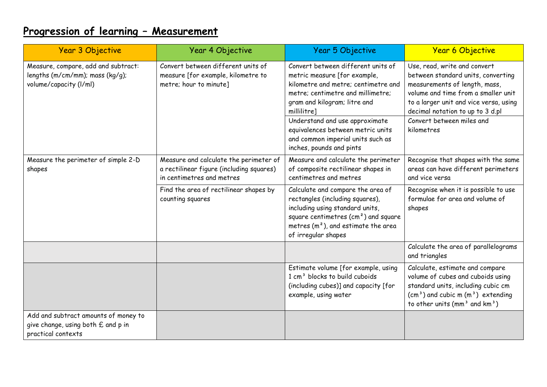## **Progression of learning – Measurement**

| <b>Year 3 Objective</b>                                                                          | Year 4 Objective                                                                                                | Year 5 Objective                                                                                                                                                                                                                | <b>Year 6 Objective</b>                                                                                                                                                                                                                               |
|--------------------------------------------------------------------------------------------------|-----------------------------------------------------------------------------------------------------------------|---------------------------------------------------------------------------------------------------------------------------------------------------------------------------------------------------------------------------------|-------------------------------------------------------------------------------------------------------------------------------------------------------------------------------------------------------------------------------------------------------|
| Measure, compare, add and subtract:<br>lengths (m/cm/mm); mass (kg/g);<br>volume/capacity (I/ml) | Convert between different units of<br>measure [for example, kilometre to<br>metre; hour to minute]              | Convert between different units of<br>metric measure [for example,<br>kilometre and metre; centimetre and<br>metre; centimetre and millimetre;<br>gram and kilogram; litre and<br>millilitre]<br>Understand and use approximate | Use, read, write and convert<br>between standard units, converting<br>measurements of length, mass,<br>volume and time from a smaller unit<br>to a larger unit and vice versa, using<br>decimal notation to up to 3 d.pl<br>Convert between miles and |
|                                                                                                  |                                                                                                                 | equivalences between metric units<br>and common imperial units such as<br>inches, pounds and pints                                                                                                                              | kilometres                                                                                                                                                                                                                                            |
| Measure the perimeter of simple 2-D<br>shapes                                                    | Measure and calculate the perimeter of<br>a rectilinear figure (including squares)<br>in centimetres and metres | Measure and calculate the perimeter<br>of composite rectilinear shapes in<br>centimetres and metres                                                                                                                             | Recognise that shapes with the same<br>areas can have different perimeters<br>and vice versa                                                                                                                                                          |
|                                                                                                  | Find the area of rectilinear shapes by<br>counting squares                                                      | Calculate and compare the area of<br>rectangles (including squares),<br>including using standard units,<br>square centimetres $\text{(cm}^2\text{)}$ and square<br>metres $(m2)$ , and estimate the area<br>of irregular shapes | Recognise when it is possible to use<br>formulae for area and volume of<br>shapes                                                                                                                                                                     |
|                                                                                                  |                                                                                                                 |                                                                                                                                                                                                                                 | Calculate the area of parallelograms<br>and triangles                                                                                                                                                                                                 |
|                                                                                                  |                                                                                                                 | Estimate volume [for example, using<br>1 cm <sup>3</sup> blocks to build cuboids<br>(including cubes)] and capacity [for<br>example, using water                                                                                | Calculate, estimate and compare<br>volume of cubes and cuboids using<br>standard units, including cubic cm<br>$(cm3)$ and cubic m $(m3)$ extending<br>to other units (mm <sup>3</sup> and $km3$ )                                                     |
| Add and subtract amounts of money to<br>give change, using both £ and p in<br>practical contexts |                                                                                                                 |                                                                                                                                                                                                                                 |                                                                                                                                                                                                                                                       |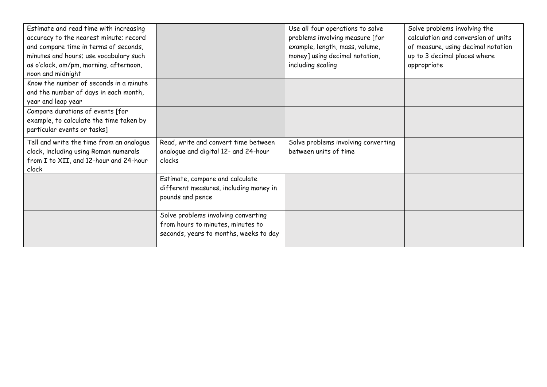| Estimate and read time with increasing   |                                        | Use all four operations to solve    | Solve problems involving the        |
|------------------------------------------|----------------------------------------|-------------------------------------|-------------------------------------|
| accuracy to the nearest minute; record   |                                        | problems involving measure [for     | calculation and conversion of units |
| and compare time in terms of seconds,    |                                        | example, length, mass, volume,      | of measure, using decimal notation  |
| minutes and hours; use vocabulary such   |                                        | money] using decimal notation,      | up to 3 decimal places where        |
| as o'clock, am/pm, morning, afternoon,   |                                        | including scaling                   | appropriate                         |
| noon and midnight                        |                                        |                                     |                                     |
| Know the number of seconds in a minute   |                                        |                                     |                                     |
| and the number of days in each month,    |                                        |                                     |                                     |
| year and leap year                       |                                        |                                     |                                     |
| Compare durations of events [for         |                                        |                                     |                                     |
| example, to calculate the time taken by  |                                        |                                     |                                     |
| particular events or tasks]              |                                        |                                     |                                     |
| Tell and write the time from an analogue | Read, write and convert time between   | Solve problems involving converting |                                     |
| clock, including using Roman numerals    | analogue and digital 12- and 24-hour   | between units of time               |                                     |
| from I to XII, and 12-hour and 24-hour   | clocks                                 |                                     |                                     |
| clock                                    |                                        |                                     |                                     |
|                                          | Estimate, compare and calculate        |                                     |                                     |
|                                          | different measures, including money in |                                     |                                     |
|                                          | pounds and pence                       |                                     |                                     |
|                                          |                                        |                                     |                                     |
|                                          | Solve problems involving converting    |                                     |                                     |
|                                          | from hours to minutes, minutes to      |                                     |                                     |
|                                          | seconds, years to months, weeks to day |                                     |                                     |
|                                          |                                        |                                     |                                     |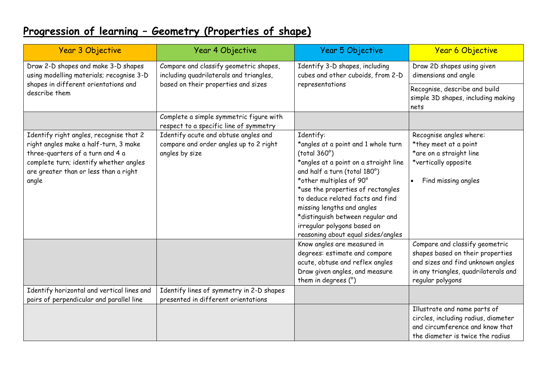#### **Progression of learning – Geometry (Properties of shape)**

| <b>Year 3 Objective</b>                                                                                                                                                                                          | Year 4 Objective                                                                                 | Year 5 Objective                                                                                                                                                                                                                                                                                                                                                                     | <b>Year 6 Objective</b>                                                                                                                                             |
|------------------------------------------------------------------------------------------------------------------------------------------------------------------------------------------------------------------|--------------------------------------------------------------------------------------------------|--------------------------------------------------------------------------------------------------------------------------------------------------------------------------------------------------------------------------------------------------------------------------------------------------------------------------------------------------------------------------------------|---------------------------------------------------------------------------------------------------------------------------------------------------------------------|
| Draw 2-D shapes and make 3-D shapes<br>using modelling materials; recognise 3-D                                                                                                                                  | Compare and classify geometric shapes,<br>including quadrilaterals and triangles,                | Identify 3-D shapes, including<br>cubes and other cuboids, from 2-D                                                                                                                                                                                                                                                                                                                  | Draw 2D shapes using given<br>dimensions and angle                                                                                                                  |
| shapes in different orientations and<br>describe them                                                                                                                                                            | based on their properties and sizes                                                              | representations                                                                                                                                                                                                                                                                                                                                                                      | Recognise, describe and build<br>simple 3D shapes, including making<br>nets                                                                                         |
|                                                                                                                                                                                                                  | Complete a simple symmetric figure with<br>respect to a specific line of symmetry                |                                                                                                                                                                                                                                                                                                                                                                                      |                                                                                                                                                                     |
| Identify right angles, recognise that 2<br>right angles make a half-turn, 3 make<br>three-quarters of a turn and 4 a<br>complete turn; identify whether angles<br>are greater than or less than a right<br>angle | Identify acute and obtuse angles and<br>compare and order angles up to 2 right<br>angles by size | Identify:<br>*angles at a point and 1 whole turn<br>(total 360°)<br>*angles at a point on a straight line<br>and half a turn (total 180°)<br>*other multiples of 90°<br>*use the properties of rectangles<br>to deduce related facts and find<br>missing lengths and angles<br>*distinguish between regular and<br>irregular polygons based on<br>reasoning about equal sides/angles | Recognise angles where:<br>*they meet at a point<br>*are on a straight line<br>*vertically opposite<br>Find missing angles                                          |
|                                                                                                                                                                                                                  |                                                                                                  | Know angles are measured in<br>degrees: estimate and compare<br>acute, obtuse and reflex angles<br>Draw given angles, and measure<br>them in degrees (°)                                                                                                                                                                                                                             | Compare and classify geometric<br>shapes based on their properties<br>and sizes and find unknown angles<br>in any triangles, quadrilaterals and<br>regular polygons |
| Identify horizontal and vertical lines and<br>pairs of perpendicular and parallel line                                                                                                                           | Identify lines of symmetry in 2-D shapes<br>presented in different orientations                  |                                                                                                                                                                                                                                                                                                                                                                                      |                                                                                                                                                                     |
|                                                                                                                                                                                                                  |                                                                                                  |                                                                                                                                                                                                                                                                                                                                                                                      | Illustrate and name parts of<br>circles, including radius, diameter<br>and circumference and know that<br>the diameter is twice the radius                          |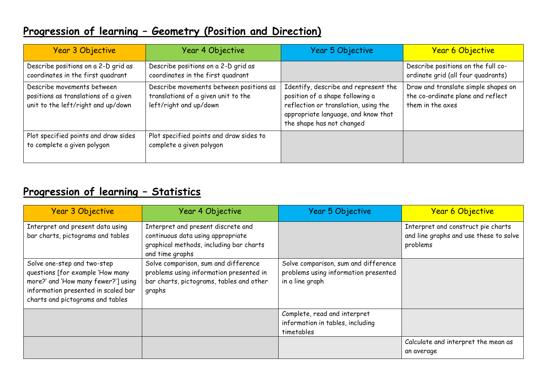#### **Progression of learning – Geometry (Position and Direction)**

| Year 3 Objective                                                                                         | Year 4 Objective                                                                                         | Year 5 Objective                                                                                                                                                                    | <b>Year 6 Objective</b>                                                                      |
|----------------------------------------------------------------------------------------------------------|----------------------------------------------------------------------------------------------------------|-------------------------------------------------------------------------------------------------------------------------------------------------------------------------------------|----------------------------------------------------------------------------------------------|
| Describe positions on a 2-D grid as<br>coordinates in the first quadrant                                 | Describe positions on a 2-D grid as<br>coordinates in the first quadrant                                 |                                                                                                                                                                                     | Describe positions on the full co-<br>ordinate grid (all four quadrants)                     |
| Describe movements between<br>positions as translations of a given<br>unit to the left/right and up/down | Describe movements between positions as<br>translations of a given unit to the<br>left/right and up/down | Identify, describe and represent the<br>position of a shape following a<br>reflection or translation, using the<br>appropriate language, and know that<br>the shape has not changed | Draw and translate simple shapes on<br>the co-ordinate plane and reflect<br>them in the axes |
| Plot specified points and draw sides<br>to complete a given polygon                                      | Plot specified points and draw sides to<br>complete a given polygon                                      |                                                                                                                                                                                     |                                                                                              |

#### **Progression of learning – Statistics**

| Year 3 Objective                                                                                                                                                                  | Year 4 Objective                                                                                                                      | Year 5 Objective                                                                                | <b>Year 6 Objective</b>                                                                  |
|-----------------------------------------------------------------------------------------------------------------------------------------------------------------------------------|---------------------------------------------------------------------------------------------------------------------------------------|-------------------------------------------------------------------------------------------------|------------------------------------------------------------------------------------------|
| Interpret and present data using<br>bar charts, pictograms and tables                                                                                                             | Interpret and present discrete and<br>continuous data using appropriate<br>graphical methods, including bar charts<br>and time graphs |                                                                                                 | Interpret and construct pie charts<br>and line graphs and use these to solve<br>problems |
| Solve one-step and two-step<br>questions [for example 'How many<br>more?' and 'How many fewer?'] using<br>information presented in scaled bar<br>charts and pictograms and tables | Solve comparison, sum and difference<br>problems using information presented in<br>bar charts, pictograms, tables and other<br>graphs | Solve comparison, sum and difference<br>problems using information presented<br>in a line graph |                                                                                          |
|                                                                                                                                                                                   |                                                                                                                                       | Complete, read and interpret<br>information in tables, including<br>timetables                  |                                                                                          |
|                                                                                                                                                                                   |                                                                                                                                       |                                                                                                 | Calculate and interpret the mean as<br>an average                                        |